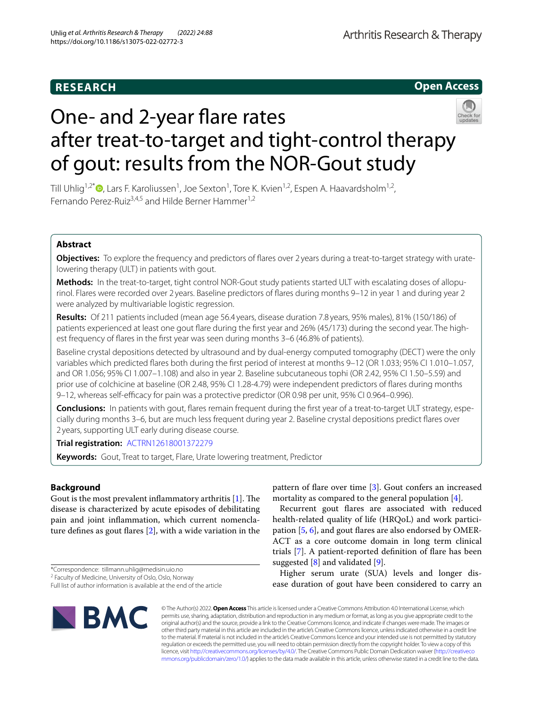# **Open Access**



# One- and 2-year flare rates after treat-to-target and tight-control therapy of gout: results from the NOR-Gout study

Till Uhlig<sup>1[,](https://orcid.org/0000-0002-6881-9552)2\*</sup> <sup>(1</sup>), Lars F. Karoliussen<sup>1</sup>, Joe Sexton<sup>1</sup>, Tore K. Kvien<sup>1,2</sup>, Espen A. Haavardsholm<sup>1,2</sup>, Fernando Perez-Ruiz<sup>3,4,5</sup> and Hilde Berner Hammer<sup>1,2</sup>

# **Abstract**

**Objectives:** To explore the frequency and predictors of fares over 2 years during a treat-to-target strategy with uratelowering therapy (ULT) in patients with gout.

Methods: In the treat-to-target, tight control NOR-Gout study patients started ULT with escalating doses of allopurinol. Flares were recorded over 2 years. Baseline predictors of fares during months 9–12 in year 1 and during year 2 were analyzed by multivariable logistic regression.

**Results:** Of 211 patients included (mean age 56.4 years, disease duration 7.8 years, 95% males), 81% (150/186) of patients experienced at least one gout flare during the first year and 26% (45/173) during the second year. The highest frequency of flares in the first year was seen during months 3-6 (46.8% of patients).

Baseline crystal depositions detected by ultrasound and by dual-energy computed tomography (DECT) were the only variables which predicted fares both during the frst period of interest at months 9–12 (OR 1.033; 95% CI 1.010–1.057, and OR 1.056; 95% CI 1.007–1.108) and also in year 2. Baseline subcutaneous tophi (OR 2.42, 95% CI 1.50–5.59) and prior use of colchicine at baseline (OR 2.48, 95% CI 1.28-4.79) were independent predictors of fares during months 9–12, whereas self-efcacy for pain was a protective predictor (OR 0.98 per unit, 95% CI 0.964–0.996).

**Conclusions:** In patients with gout, flares remain frequent during the first year of a treat-to-target ULT strategy, especially during months 3–6, but are much less frequent during year 2. Baseline crystal depositions predict fares over 2 years, supporting ULT early during disease course.

**Trial registration:** [ACTRN12618001372279](https://www.anzctr.org.au/Trial/Registration/TrialReview.aspx?id=370430)

**Keywords:** Gout, Treat to target, Flare, Urate lowering treatment, Predictor

# **Background**

Gout is the most prevalent inflammatory arthritis  $[1]$  $[1]$ . The disease is characterized by acute episodes of debilitating pain and joint infammation, which current nomenclature defnes as gout fares [\[2](#page-9-1)], with a wide variation in the

\*Correspondence: tillmann.uhlig@medisin.uio.no

<sup>2</sup> Faculty of Medicine, University of Oslo, Oslo, Norway

Full list of author information is available at the end of the article



pattern of flare over time  $[3]$  $[3]$ . Gout confers an increased mortality as compared to the general population [\[4](#page-9-3)].

Recurrent gout fares are associated with reduced health-related quality of life (HRQoL) and work participation [\[5](#page-9-4), [6\]](#page-9-5), and gout fares are also endorsed by OMER-ACT as a core outcome domain in long term clinical trials [[7\]](#page-9-6). A patient-reported defnition of fare has been suggested  $[8]$  $[8]$  and validated  $[9]$  $[9]$ .

Higher serum urate (SUA) levels and longer disease duration of gout have been considered to carry an

© The Author(s) 2022. **Open Access** This article is licensed under a Creative Commons Attribution 4.0 International License, which permits use, sharing, adaptation, distribution and reproduction in any medium or format, as long as you give appropriate credit to the original author(s) and the source, provide a link to the Creative Commons licence, and indicate if changes were made. The images or other third party material in this article are included in the article's Creative Commons licence, unless indicated otherwise in a credit line to the material. If material is not included in the article's Creative Commons licence and your intended use is not permitted by statutory regulation or exceeds the permitted use, you will need to obtain permission directly from the copyright holder. To view a copy of this licence, visit [http://creativecommons.org/licenses/by/4.0/.](http://creativecommons.org/licenses/by/4.0/) The Creative Commons Public Domain Dedication waiver ([http://creativeco](http://creativecommons.org/publicdomain/zero/1.0/) [mmons.org/publicdomain/zero/1.0/](http://creativecommons.org/publicdomain/zero/1.0/)) applies to the data made available in this article, unless otherwise stated in a credit line to the data.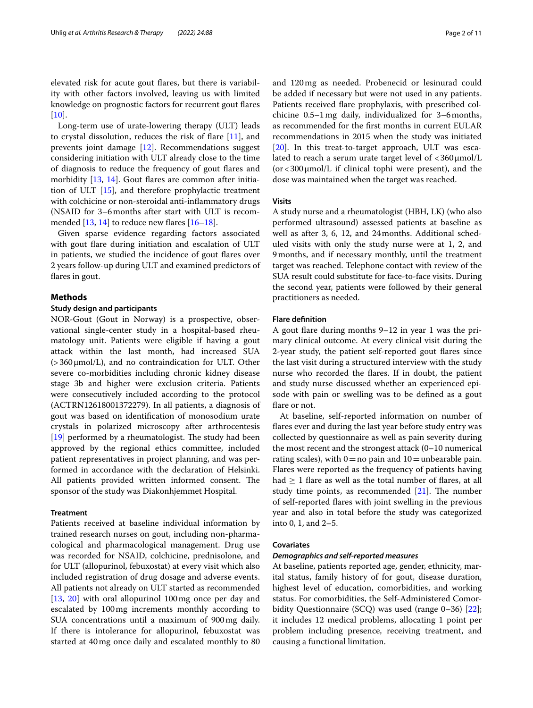elevated risk for acute gout fares, but there is variability with other factors involved, leaving us with limited knowledge on prognostic factors for recurrent gout fares  $[10]$  $[10]$ .

Long-term use of urate-lowering therapy (ULT) leads to crystal dissolution, reduces the risk of fare [[11](#page-9-10)], and prevents joint damage [\[12](#page-9-11)]. Recommendations suggest considering initiation with ULT already close to the time of diagnosis to reduce the frequency of gout fares and morbidity [[13,](#page-9-12) [14](#page-9-13)]. Gout flares are common after initiation of ULT [\[15\]](#page-9-14), and therefore prophylactic treatment with colchicine or non-steroidal anti-infammatory drugs (NSAID for 3–6months after start with ULT is recommended  $[13, 14]$  $[13, 14]$  $[13, 14]$  to reduce new flares  $[16-18]$  $[16-18]$  $[16-18]$ .

Given sparse evidence regarding factors associated with gout fare during initiation and escalation of ULT in patients, we studied the incidence of gout fares over 2 years follow-up during ULT and examined predictors of flares in gout.

# **Methods**

## **Study design and participants**

NOR-Gout (Gout in Norway) is a prospective, observational single-center study in a hospital-based rheumatology unit. Patients were eligible if having a gout attack within the last month, had increased SUA  $(>360 \mu \text{mol/L})$ , and no contraindication for ULT. Other severe co-morbidities including chronic kidney disease stage 3b and higher were exclusion criteria. Patients were consecutively included according to the protocol (ACTRN12618001372279). In all patients, a diagnosis of gout was based on identifcation of monosodium urate crystals in polarized microscopy after arthrocentesis [[19\]](#page-9-17) performed by a rheumatologist. The study had been approved by the regional ethics committee, included patient representatives in project planning, and was performed in accordance with the declaration of Helsinki. All patients provided written informed consent. The sponsor of the study was Diakonhjemmet Hospital.

# **Treatment**

Patients received at baseline individual information by trained research nurses on gout, including non-pharmacological and pharmacological management. Drug use was recorded for NSAID, colchicine, prednisolone, and for ULT (allopurinol, febuxostat) at every visit which also included registration of drug dosage and adverse events. All patients not already on ULT started as recommended [[13,](#page-9-12) [20\]](#page-9-18) with oral allopurinol 100mg once per day and escalated by 100mg increments monthly according to SUA concentrations until a maximum of 900mg daily. If there is intolerance for allopurinol, febuxostat was started at 40mg once daily and escalated monthly to 80 and 120mg as needed. Probenecid or lesinurad could be added if necessary but were not used in any patients. Patients received fare prophylaxis, with prescribed colchicine 0.5–1mg daily, individualized for 3–6months, as recommended for the frst months in current EULAR recommendations in 2015 when the study was initiated [[20\]](#page-9-18). In this treat-to-target approach, ULT was escalated to reach a serum urate target level of  $<$  360  $\mu$ mol/L  $(or < 300 \mu mol/L$  if clinical tophi were present), and the dose was maintained when the target was reached.

## **Visits**

A study nurse and a rheumatologist (HBH, LK) (who also performed ultrasound) assessed patients at baseline as well as after 3, 6, 12, and 24months. Additional scheduled visits with only the study nurse were at 1, 2, and 9months, and if necessary monthly, until the treatment target was reached. Telephone contact with review of the SUA result could substitute for face-to-face visits. During the second year, patients were followed by their general practitioners as needed.

## **Flare defnition**

A gout fare during months 9–12 in year 1 was the primary clinical outcome. At every clinical visit during the 2-year study, the patient self-reported gout fares since the last visit during a structured interview with the study nurse who recorded the fares. If in doubt, the patient and study nurse discussed whether an experienced episode with pain or swelling was to be defned as a gout flare or not.

At baseline, self-reported information on number of fares ever and during the last year before study entry was collected by questionnaire as well as pain severity during the most recent and the strongest attack (0–10 numerical rating scales), with  $0=$  no pain and  $10=$ unbearable pain. Flares were reported as the frequency of patients having had  $\geq 1$  flare as well as the total number of flares, at all study time points, as recommended  $[21]$  $[21]$  $[21]$ . The number of self-reported fares with joint swelling in the previous year and also in total before the study was categorized into 0, 1, and 2–5.

# **Covariates**

## *Demographics and self‑reported measures*

At baseline, patients reported age, gender, ethnicity, marital status, family history of for gout, disease duration, highest level of education, comorbidities, and working status. For comorbidities, the Self-Administered Comor-bidity Questionnaire (SCQ) was used (range 0-36) [\[22](#page-9-20)]; it includes 12 medical problems, allocating 1 point per problem including presence, receiving treatment, and causing a functional limitation.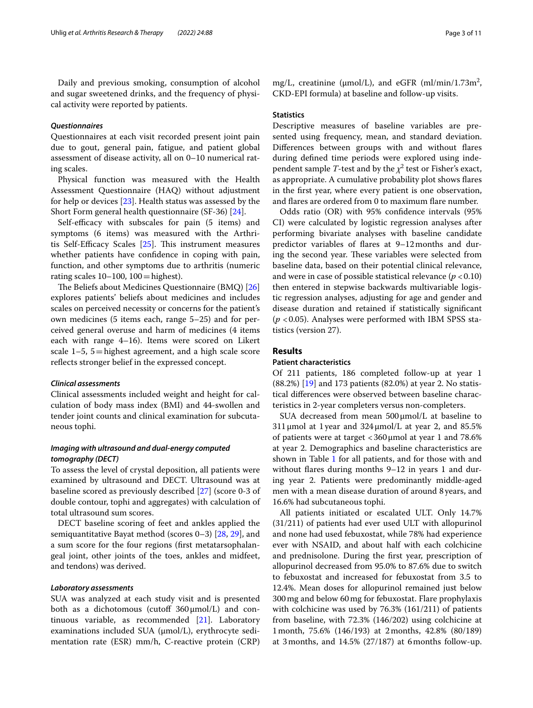Daily and previous smoking, consumption of alcohol and sugar sweetened drinks, and the frequency of physical activity were reported by patients.

## *Questionnaires*

Questionnaires at each visit recorded present joint pain due to gout, general pain, fatigue, and patient global assessment of disease activity, all on 0–10 numerical rating scales.

Physical function was measured with the Health Assessment Questionnaire (HAQ) without adjustment for help or devices [\[23](#page-9-21)]. Health status was assessed by the Short Form general health questionnaire (SF-36) [[24\]](#page-9-22).

Self-efficacy with subscales for pain (5 items) and symptoms (6 items) was measured with the Arthritis Self-Efficacy Scales  $[25]$  $[25]$ . This instrument measures whether patients have confidence in coping with pain, function, and other symptoms due to arthritis (numeric rating scales  $10-100$ ,  $100=$ highest).

The Beliefs about Medicines Questionnaire (BMQ) [[26](#page-9-24)] explores patients' beliefs about medicines and includes scales on perceived necessity or concerns for the patient's own medicines (5 items each, range 5–25) and for perceived general overuse and harm of medicines (4 items each with range 4–16). Items were scored on Likert scale  $1-5$ ,  $5=$  highest agreement, and a high scale score refects stronger belief in the expressed concept.

# *Clinical assessments*

Clinical assessments included weight and height for calculation of body mass index (BMI) and 44-swollen and tender joint counts and clinical examination for subcutaneous tophi.

# *Imaging with ultrasound and dual‑energy computed tomography (DECT)*

To assess the level of crystal deposition, all patients were examined by ultrasound and DECT. Ultrasound was at baseline scored as previously described [\[27](#page-9-25)] (score 0-3 of double contour, tophi and aggregates) with calculation of total ultrasound sum scores.

DECT baseline scoring of feet and ankles applied the semiquantitative Bayat method (scores 0–3) [[28,](#page-9-26) [29](#page-9-27)], and a sum score for the four regions (frst metatarsophalangeal joint, other joints of the toes, ankles and midfeet, and tendons) was derived.

## *Laboratory assessments*

SUA was analyzed at each study visit and is presented both as a dichotomous (cutoff  $360 \mu$ mol/L) and continuous variable, as recommended [\[21](#page-9-19)]. Laboratory examinations included SUA (μmol/L), erythrocyte sedimentation rate (ESR) mm/h, C-reactive protein (CRP)

mg/L, creatinine ( $\mu$ mol/L), and eGFR (ml/min/1.73m<sup>2</sup>, CKD-EPI formula) at baseline and follow-up visits.

# **Statistics**

Descriptive measures of baseline variables are presented using frequency, mean, and standard deviation. Diferences between groups with and without fares during defned time periods were explored using independent sample *T*-test and by the  $\chi^2$  test or Fisher's exact, as appropriate. A cumulative probability plot shows fares in the frst year, where every patient is one observation, and fares are ordered from 0 to maximum fare number.

Odds ratio (OR) with 95% confdence intervals (95% CI) were calculated by logistic regression analyses after performing bivariate analyses with baseline candidate predictor variables of fares at 9–12months and during the second year. These variables were selected from baseline data, based on their potential clinical relevance, and were in case of possible statistical relevance  $(p < 0.10)$ then entered in stepwise backwards multivariable logistic regression analyses, adjusting for age and gender and disease duration and retained if statistically signifcant (*p* <0.05). Analyses were performed with IBM SPSS statistics (version 27).

# **Results**

## **Patient characteristics**

Of 211 patients, 186 completed follow-up at year 1 (88.2%) [[19](#page-9-17)] and 173 patients (82.0%) at year 2. No statistical diferences were observed between baseline characteristics in 2-year completers versus non-completers.

SUA decreased from mean  $500 \mu$ mol/L at baseline to  $311 \mu$ mol at 1 year and  $324 \mu$ mol/L at year 2, and  $85.5\%$ of patients were at target <360μmol at year 1 and 78.6% at year 2. Demographics and baseline characteristics are shown in Table [1](#page-3-0) for all patients, and for those with and without flares during months 9–12 in years 1 and during year 2. Patients were predominantly middle-aged men with a mean disease duration of around 8 years, and 16.6% had subcutaneous tophi.

All patients initiated or escalated ULT. Only 14.7% (31/211) of patients had ever used ULT with allopurinol and none had used febuxostat, while 78% had experience ever with NSAID, and about half with each colchicine and prednisolone. During the frst year, prescription of allopurinol decreased from 95.0% to 87.6% due to switch to febuxostat and increased for febuxostat from 3.5 to 12.4%. Mean doses for allopurinol remained just below 300mg and below 60mg for febuxostat. Flare prophylaxis with colchicine was used by 76.3% (161/211) of patients from baseline, with 72.3% (146/202) using colchicine at 1month, 75.6% (146/193) at 2months, 42.8% (80/189) at 3months, and 14.5% (27/187) at 6months follow-up.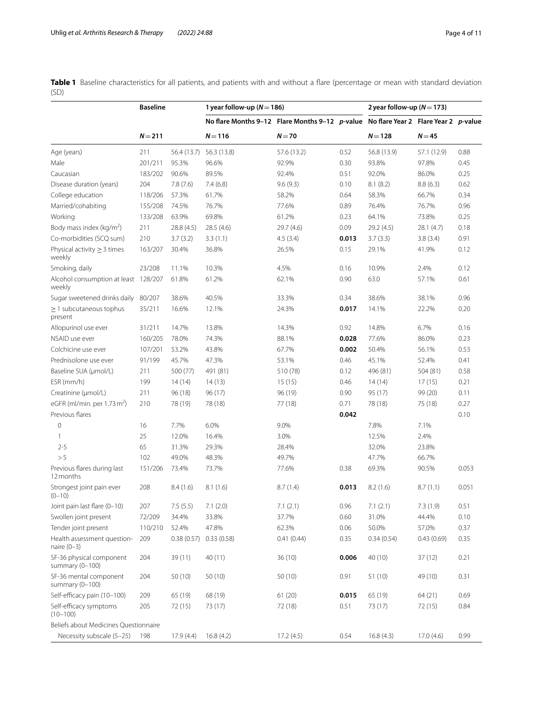<span id="page-3-0"></span>**Table 1** Baseline characteristics for all patients, and patients with and without a flare (percentage or mean with standard deviation (SD)

|                                                | <b>Baseline</b> |             | 1 year follow-up ( $N = 186$ )                                                      |             |       | 2 year follow-up $(N=173)$ |             |       |
|------------------------------------------------|-----------------|-------------|-------------------------------------------------------------------------------------|-------------|-------|----------------------------|-------------|-------|
|                                                |                 |             | No flare Months 9-12 Flare Months 9-12 p-value No flare Year 2 Flare Year 2 p-value |             |       |                            |             |       |
|                                                | $N = 211$       |             | $N = 116$                                                                           | $N=70$      |       | $N = 128$                  | $N = 45$    |       |
| Age (years)                                    | 211             | 56.4 (13.7) | 56.3 (13.8)                                                                         | 57.6 (13.2) | 0.52  | 56.8 (13.9)                | 57.1 (12.9) | 0.88  |
| Male                                           | 201/211         | 95.3%       | 96.6%                                                                               | 92.9%       | 0.30  | 93.8%                      | 97.8%       | 0.45  |
| Caucasian                                      | 183/202         | 90.6%       | 89.5%                                                                               | 92.4%       | 0.51  | 92.0%                      | 86.0%       | 0.25  |
| Disease duration (years)                       | 204             | 7.8(7.6)    | 7.4(6.8)                                                                            | 9.6(9.3)    | 0.10  | 8.1(8.2)                   | 8.8(6.3)    | 0.62  |
| College education                              | 118/206         | 57.3%       | 61.7%                                                                               | 58.2%       | 0.64  | 58.3%                      | 66.7%       | 0.34  |
| Married/cohabiting                             | 155/208         | 74.5%       | 76.7%                                                                               | 77.6%       | 0.89  | 76.4%                      | 76.7%       | 0.96  |
| Working                                        | 133/208         | 63.9%       | 69.8%                                                                               | 61.2%       | 0.23  | 64.1%                      | 73.8%       | 0.25  |
| Body mass index ( $kg/m2$ )                    | 211             | 28.8 (4.5)  | 28.5(4.6)                                                                           | 29.7 (4.6)  | 0.09  | 29.2 (4.5)                 | 28.1 (4.7)  | 0.18  |
| Co-morbidities (SCQ sum)                       | 210             | 3.7(3.2)    | 3.3(1.1)                                                                            | 4.5(3.4)    | 0.013 | 3.7(3.3)                   | 3.8(3.4)    | 0.91  |
| Physical activity $\geq$ 3 times<br>weekly     | 163/207         | 30.4%       | 36.8%                                                                               | 26.5%       | 0.15  | 29.1%                      | 41.9%       | 0.12  |
| Smoking, daily                                 | 23/208          | 11.1%       | 10.3%                                                                               | 4.5%        | 0.16  | 10.9%                      | 2.4%        | 0.12  |
| Alcohol consumption at least 128/207<br>weekly |                 | 61.8%       | 61.2%                                                                               | 62.1%       | 0.90  | 63.0                       | 57.1%       | 0.61  |
| Sugar sweetened drinks daily                   | 80/207          | 38.6%       | 40.5%                                                                               | 33.3%       | 0.34  | 38.6%                      | 38.1%       | 0.96  |
| $\geq$ 1 subcutaneous tophus<br>present        | 35/211          | 16.6%       | 12.1%                                                                               | 24.3%       | 0.017 | 14.1%                      | 22.2%       | 0.20  |
| Allopurinol use ever                           | 31/211          | 14.7%       | 13.8%                                                                               | 14.3%       | 0.92  | 14.8%                      | 6.7%        | 0.16  |
| NSAID use ever                                 | 160/205         | 78.0%       | 74.3%                                                                               | 88.1%       | 0.028 | 77.6%                      | 86.0%       | 0.23  |
| Colchicine use ever                            | 107/201         | 53.2%       | 43.8%                                                                               | 67.7%       | 0.002 | 50.4%                      | 56.1%       | 0.53  |
| Prednisolone use ever                          | 91/199          | 45.7%       | 47.3%                                                                               | 53.1%       | 0.46  | 45.1%                      | 52.4%       | 0.41  |
| Baseline SUA (µmol/L)                          | 211             | 500 (77)    | 491 (81)                                                                            | 510 (78)    | 0.12  | 496 (81)                   | 504 (81)    | 0.58  |
| ESR (mm/h)                                     | 199             | 14(14)      | 14 (13)                                                                             | 15(15)      | 0.46  | 14(14)                     | 17(15)      | 0.21  |
| Creatinine (µmol/L)                            | 211             | 96(18)      | 96(17)                                                                              | 96 (19)     | 0.90  | 95 (17)                    | 99 (20)     | 0.11  |
| eGFR (ml/min. per $1.73 \text{ m}^2$ )         | 210             | 78 (19)     | 78 (18)                                                                             | 77 (18)     | 0.71  | 78 (18)                    | 75 (18)     | 0.27  |
| Previous flares                                |                 |             |                                                                                     |             | 0.042 |                            |             | 0.10  |
| $\mathbf 0$                                    | 16              | 7.7%        | 6.0%                                                                                | 9.0%        |       | 7.8%                       | 7.1%        |       |
| 1                                              | 25              | 12.0%       | 16.4%                                                                               | 3.0%        |       | 12.5%                      | 2.4%        |       |
| $2 - 5$                                        | 65              | 31.3%       | 29.3%                                                                               | 28.4%       |       | 32.0%                      | 23.8%       |       |
| > 5                                            | 102             | 49.0%       | 48.3%                                                                               | 49.7%       |       | 47.7%                      | 66.7%       |       |
| Previous flares during last<br>12 months       | 151/206         | 73.4%       | 73.7%                                                                               | 77.6%       | 0.38  | 69.3%                      | 90.5%       | 0.053 |
| Strongest joint pain ever<br>$(0 - 10)$        | 208             | 8.4(1.6)    | 8.1(1.6)                                                                            | 8.7(1.4)    | 0.013 | 8.2(1.6)                   | 8.7(1.1)    | 0.051 |
| Joint pain last flare (0-10)                   | 207             | 7.5(5.5)    | 7.1(2.0)                                                                            | 7.1(2.1)    | 0.96  | 7.1(2.1)                   | 7.3(1.9)    | 0.51  |
| Swollen joint present                          | 72/209          | 34.4%       | 33.8%                                                                               | 37.7%       | 0.60  | 31.0%                      | 44.4%       | 0.10  |
| Tender joint present                           | 110/210         | 52.4%       | 47.8%                                                                               | 62.3%       | 0.06  | 50.0%                      | 57.0%       | 0.37  |
| Health assessment question-<br>naire $(0-3)$   | 209             | 0.38(0.57)  | 0.33(0.58)                                                                          | 0.41(0.44)  | 0.35  | 0.34(0.54)                 | 0.43(0.69)  | 0.35  |
| SF-36 physical component<br>summary $(0-100)$  | 204             | 39 (11)     | 40(11)                                                                              | 36(10)      | 0.006 | 40 (10)                    | 37(12)      | 0.21  |
| SF-36 mental component<br>summary $(0-100)$    | 204             | 50(10)      | 50(10)                                                                              | 50 (10)     | 0.91  | 51 (10)                    | 49 (10)     | 0.31  |
| Self-efficacy pain (10-100)                    | 209             | 65 (19)     | 68 (19)                                                                             | 61(20)      | 0.015 | 65 (19)                    | 64(21)      | 0.69  |
| Self-efficacy symptoms<br>$(10 - 100)$         | 205             | 72 (15)     | 73 (17)                                                                             | 72 (18)     | 0.51  | 73 (17)                    | 72 (15)     | 0.84  |
| Beliefs about Medicines Questionnaire          |                 |             |                                                                                     |             |       |                            |             |       |
| Necessity subscale (5-25)                      | 198             | 17.9 (4.4)  | 16.8(4.2)                                                                           | 17.2(4.5)   | 0.54  | 16.8(4.3)                  | 17.0 (4.6)  | 0.99  |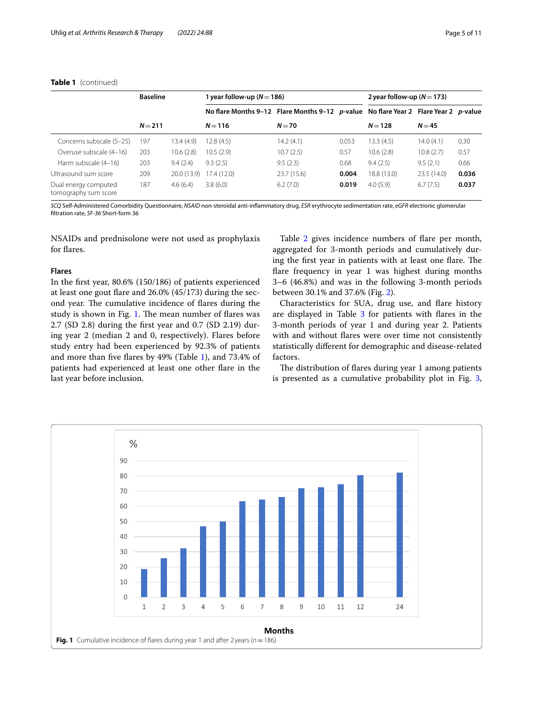|                                              | <b>Baseline</b> |             | 1 year follow-up $(N=186)$                                                          |            |       | 2 year follow-up $(N=173)$ |            |       |
|----------------------------------------------|-----------------|-------------|-------------------------------------------------------------------------------------|------------|-------|----------------------------|------------|-------|
|                                              |                 |             | No flare Months 9-12 Flare Months 9-12 p-value No flare Year 2 Flare Year 2 p-value |            |       |                            |            |       |
|                                              | $N = 211$       |             | $N = 116$                                                                           | $N=70$     |       | $N = 128$                  | $N = 45$   |       |
| Concerns subscale (5-25)                     | 197             | 13.4 (4.9)  | 12.8(4.5)                                                                           | 14.2(4.1)  | 0.053 | 13.3(4.5)                  | 14.0(4.1)  | 0.30  |
| Overuse subscale (4-16)                      | 203             | 10.6(2.8)   | 10.5(2.9)                                                                           | 10.7(2.5)  | 0.57  | 10.6(2.8)                  | 10.8(2.7)  | 0.57  |
| Harm subscale (4-16)                         | 203             | 9.4(2.4)    | 9.3(2.5)                                                                            | 9.5(2.3)   | 0.68  | 9.4(2.5)                   | 9.5(2.1)   | 0.66  |
| Ultrasound sum score                         | 209             | 20.0 (13.9) | 17.4(12.0)                                                                          | 23.7(15.6) | 0.004 | 18.8 (13.0)                | 23.5(14.0) | 0.036 |
| Dual energy computed<br>tomography sum score | 187             | 4.6(6.4)    | 3.8(6.0)                                                                            | 6.2(7.0)   | 0.019 | 4.0(5.9)                   | 6.7(7.5)   | 0.037 |

# **Table 1** (continued)

*SCQ* Self-Administered Comorbidity Questionnaire, *NSAID* non-steroidal anti-infammatory drug, *ESR* erythrocyte sedimentation rate, *eGFR* electronic glomerular fltration rate, *SF-36* Short-form 36

NSAIDs and prednisolone were not used as prophylaxis for fares.

## **Flares**

In the frst year, 80.6% (150/186) of patients experienced at least one gout fare and 26.0% (45/173) during the second year. The cumulative incidence of flares during the study is shown in Fig. [1.](#page-4-0) The mean number of flares was 2.7 (SD 2.8) during the frst year and 0.7 (SD 2.19) during year 2 (median 2 and 0, respectively). Flares before study entry had been experienced by 92.3% of patients and more than fve fares by 49% (Table [1](#page-3-0)), and 73.4% of patients had experienced at least one other fare in the last year before inclusion.

Table [2](#page-5-0) gives incidence numbers of flare per month, aggregated for 3-month periods and cumulatively during the first year in patients with at least one flare. The flare frequency in year 1 was highest during months 3–6 (46.8%) and was in the following 3-month periods between 30.1% and 37.6% (Fig. [2\)](#page-5-1).

Characteristics for SUA, drug use, and fare history are displayed in Table [3](#page-6-0) for patients with flares in the 3-month periods of year 1 and during year 2. Patients with and without fares were over time not consistently statistically diferent for demographic and disease-related factors.

The distribution of flares during year 1 among patients is presented as a cumulative probability plot in Fig. [3](#page-6-1),

<span id="page-4-0"></span>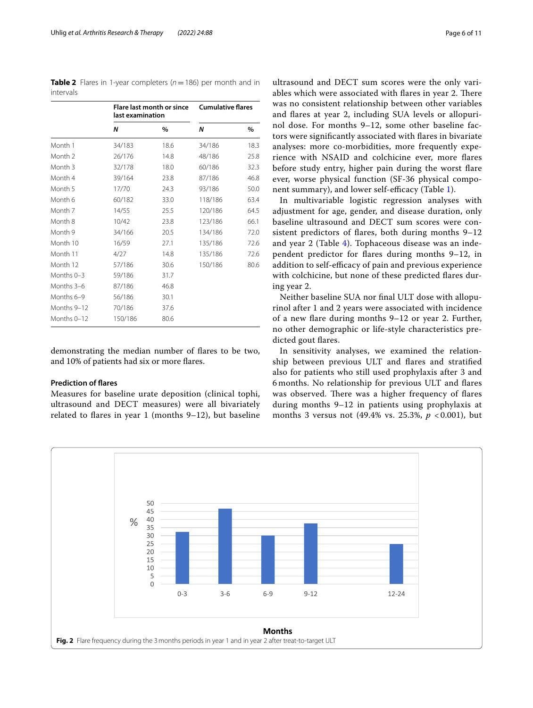demonstrating the median number of fares to be two, and 10% of patients had six or more fares.

# **Prediction of fares**

Months 0-3 59/186 31.7 Months 3–6 87/186 46.8 Months 6–9 56/186 30.1 Months 9-12 70/186 37.6 Months 0-12 150/186 80.6

Measures for baseline urate deposition (clinical tophi, ultrasound and DECT measures) were all bivariately related to fares in year 1 (months 9–12), but baseline

ultrasound and DECT sum scores were the only variables which were associated with flares in year 2. There was no consistent relationship between other variables and fares at year 2, including SUA levels or allopurinol dose. For months 9–12, some other baseline factors were signifcantly associated with fares in bivariate analyses: more co-morbidities, more frequently experience with NSAID and colchicine ever, more fares before study entry, higher pain during the worst fare ever, worse physical function (SF-36 physical compo-nent summary), and lower self-efficacy (Table [1\)](#page-3-0).

In multivariable logistic regression analyses with adjustment for age, gender, and disease duration, only baseline ultrasound and DECT sum scores were consistent predictors of fares, both during months 9–12 and year 2 (Table [4\)](#page-7-0). Tophaceous disease was an independent predictor for fares during months 9–12, in addition to self-efficacy of pain and previous experience with colchicine, but none of these predicted fares during year 2.

Neither baseline SUA nor fnal ULT dose with allopurinol after 1 and 2 years were associated with incidence of a new fare during months 9–12 or year 2. Further, no other demographic or life-style characteristics predicted gout fares.

In sensitivity analyses, we examined the relationship between previous ULT and fares and stratifed also for patients who still used prophylaxis after 3 and 6 months. No relationship for previous ULT and fares was observed. There was a higher frequency of flares during months 9–12 in patients using prophylaxis at months 3 versus not (49.4% vs. 25.3%, *p* < 0.001), but

<span id="page-5-1"></span>

<span id="page-5-0"></span>**Table 2** Flares in 1-year completers ( $n = 186$ ) per month and in intervals

*N* **%** *N* **%**

**Cumulative fares**

**Flare last month or since last examination**

Month 1 34/183 18.6 34/186 18.3 Month 2 26/176 14.8 48/186 25.8 Month 3 32/178 18.0 60/186 32.3 Month 4 39/164 23.8 87/186 46.8 Month 5 17/70 24.3 93/186 50.0 Month 6 60/182 33.0 118/186 63.4 Month 7 14/55 25.5 120/186 64.5 Month 8 10/42 23.8 123/186 66.1 Month 9 34/166 20.5 134/186 72.0 Month 10 16/59 27.1 135/186 72.6 Month 11 4/27 14.8 135/186 72.6 Month 12 57/186 30.6 150/186 80.6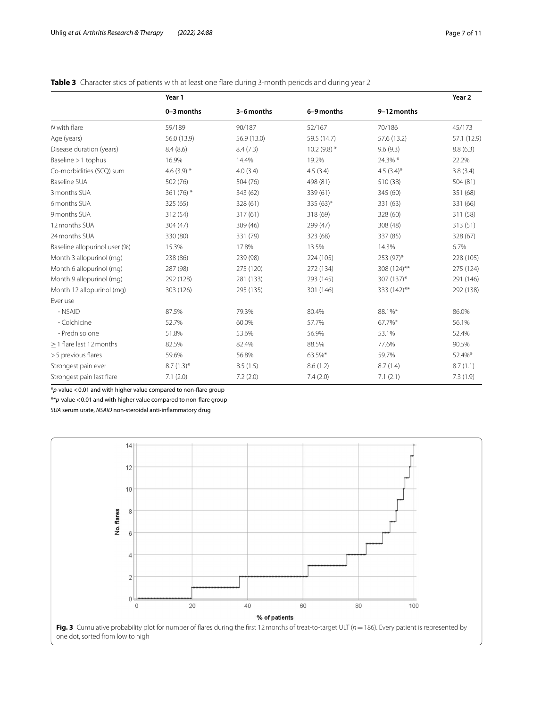# <span id="page-6-0"></span>**Table 3** Characteristics of patients with at least one flare during 3-month periods and during year 2

|                               | Year 1        |             |               |               |             |
|-------------------------------|---------------|-------------|---------------|---------------|-------------|
|                               | 0-3 months    | 3-6 months  | 6-9 months    | 9-12 months   |             |
| N with flare                  | 59/189        | 90/187      | 52/167        | 70/186        | 45/173      |
| Age (years)                   | 56.0 (13.9)   | 56.9 (13.0) | 59.5 (14.7)   | 57.6 (13.2)   | 57.1 (12.9) |
| Disease duration (years)      | 8.4(8.6)      | 8.4(7.3)    | $10.2(9.8)$ * | 9.6(9.3)      | 8.8(6.3)    |
| Baseline > 1 tophus           | 16.9%         | 14.4%       | 19.2%         | 24.3% *       | 22.2%       |
| Co-morbidities (SCQ) sum      | 4.6 $(3.9)$ * | 4.0(3.4)    | 4.5(3.4)      | 4.5 $(3.4)$ * | 3.8(3.4)    |
| <b>Baseline SUA</b>           | 502 (76)      | 504 (76)    | 498 (81)      | 510 (38)      | 504 (81)    |
| 3 months SUA                  | 361 (76) *    | 343 (62)    | 339 (61)      | 345 (60)      | 351 (68)    |
| 6 months SUA                  | 325 (65)      | 328 (61)    | 335 (63)*     | 331 (63)      | 331 (66)    |
| 9 months SUA                  | 312 (54)      | 317 (61)    | 318 (69)      | 328 (60)      | 311 (58)    |
| 12 months SUA                 | 304 (47)      | 309 (46)    | 299 (47)      | 308 (48)      | 313(51)     |
| 24 months SUA                 | 330 (80)      | 331 (79)    | 323 (68)      | 337 (85)      | 328 (67)    |
| Baseline allopurinol user (%) | 15.3%         | 17.8%       | 13.5%         | 14.3%         | 6.7%        |
| Month 3 allopurinol (mg)      | 238 (86)      | 239 (98)    | 224 (105)     | 253 (97)*     | 228 (105)   |
| Month 6 allopurinol (mg)      | 287 (98)      | 275 (120)   | 272 (134)     | 308 (124)**   | 275 (124)   |
| Month 9 allopurinol (mg)      | 292 (128)     | 281 (133)   | 293 (145)     | 307 (137)*    | 291 (146)   |
| Month 12 allopurinol (mq)     | 303 (126)     | 295 (135)   | 301 (146)     | 333 (142)**   | 292 (138)   |
| Ever use                      |               |             |               |               |             |
| - NSAID                       | 87.5%         | 79.3%       | 80.4%         | 88.1%*        | 86.0%       |
| - Colchicine                  | 52.7%         | 60.0%       | 57.7%         | 67.7%*        | 56.1%       |
| - Prednisolone                | 51.8%         | 53.6%       | 56.9%         | 53.1%         | 52.4%       |
| > 1 flare last 12 months      | 82.5%         | 82.4%       | 88.5%         | 77.6%         | 90.5%       |
| >5 previous flares            | 59.6%         | 56.8%       | 63.5%*        | 59.7%         | 52.4%*      |
| Strongest pain ever           | $8.7(1.3)$ *  | 8.5(1.5)    | 8.6(1.2)      | 8.7(1.4)      | 8.7(1.1)    |
| Strongest pain last flare     | 7.1(2.0)      | 7.2(2.0)    | 7.4(2.0)      | 7.1(2.1)      | 7.3(1.9)    |

\**p*-value <0.01 and with higher value compared to non-fare group

\*\**p*-value <0.01 and with higher value compared to non-fare group

*SUA* serum urate, *NSAID* non-steroidal anti-infammatory drug

<span id="page-6-1"></span>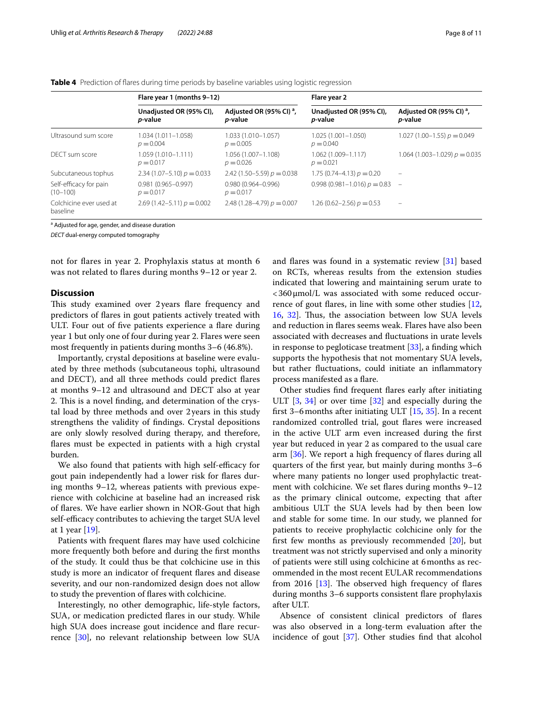|                                        | Flare year 1 (months 9-12)                 |                                                        | Flare year 2                               |                                                        |  |  |
|----------------------------------------|--------------------------------------------|--------------------------------------------------------|--------------------------------------------|--------------------------------------------------------|--|--|
|                                        | Unadjusted OR (95% CI),<br><i>p</i> -value | Adjusted OR (95% CI) <sup>a</sup> ,<br><i>p</i> -value | Unadjusted OR (95% CI),<br><i>p</i> -value | Adjusted OR (95% CI) <sup>a</sup> ,<br><i>p</i> -value |  |  |
| Ultrasound sum score                   | $1.034(1.011 - 1.058)$<br>$p = 0.004$      | 1.033 (1.010-1.057)<br>$p = 0.005$                     | $1.025(1.001 - 1.050)$<br>$p = 0.040$      | $1.027(1.00-1.55) p = 0.049$                           |  |  |
| DECT sum score                         | 1.059 (1.010-1.111)<br>$p = 0.017$         | 1.056 (1.007-1.108)<br>$p = 0.026$                     | 1.062 (1.009-1.117)<br>$p = 0.021$         | 1.064 (1.003-1.029) $p = 0.035$                        |  |  |
| Subcutaneous tophus                    | $2.34(1.07-5.10) p = 0.033$                | 2.42 $(1.50 - 5.59) p = 0.038$                         | 1.75 $(0.74-4.13) p = 0.20$                |                                                        |  |  |
| Self-efficacy for pain<br>$(10 - 100)$ | $0.981(0.965 - 0.997)$<br>$p = 0.017$      | $0.980(0.964 - 0.996)$<br>$p = 0.017$                  | $0.998(0.981-1.016) p = 0.83 -$            |                                                        |  |  |
| Colchicine ever used at<br>baseline    | $2.69(1.42 - 5.11) p = 0.002$              | 2.48 (1.28–4.79) $p = 0.007$                           | 1.26 (0.62–2.56) $p = 0.53$                | $\overline{\phantom{0}}$                               |  |  |

<span id="page-7-0"></span>**Table 4** Prediction of fares during time periods by baseline variables using logistic regression

<sup>a</sup> Adjusted for age, gender, and disease duration

*DECT* dual-energy computed tomography

not for fares in year 2. Prophylaxis status at month 6 was not related to flares during months 9-12 or year 2.

# **Discussion**

This study examined over 2years flare frequency and predictors of fares in gout patients actively treated with ULT. Four out of five patients experience a flare during year 1 but only one of four during year 2. Flares were seen most frequently in patients during months 3–6 (46.8%).

Importantly, crystal depositions at baseline were evaluated by three methods (subcutaneous tophi, ultrasound and DECT), and all three methods could predict fares at months 9–12 and ultrasound and DECT also at year 2. This is a novel finding, and determination of the crystal load by three methods and over 2years in this study strengthens the validity of fndings. Crystal depositions are only slowly resolved during therapy, and therefore, fares must be expected in patients with a high crystal burden.

We also found that patients with high self-efficacy for gout pain independently had a lower risk for fares during months 9–12, whereas patients with previous experience with colchicine at baseline had an increased risk of fares. We have earlier shown in NOR-Gout that high self-efficacy contributes to achieving the target SUA level at 1 year [[19](#page-9-17)].

Patients with frequent fares may have used colchicine more frequently both before and during the frst months of the study. It could thus be that colchicine use in this study is more an indicator of frequent fares and disease severity, and our non-randomized design does not allow to study the prevention of fares with colchicine.

Interestingly, no other demographic, life-style factors, SUA, or medication predicted fares in our study. While high SUA does increase gout incidence and flare recurrence [[30\]](#page-9-28), no relevant relationship between low SUA and fares was found in a systematic review [\[31\]](#page-9-29) based on RCTs, whereas results from the extension studies indicated that lowering and maintaining serum urate to <360μmol/L was associated with some reduced occurrence of gout fares, in line with some other studies [[12](#page-9-11), [16,](#page-9-15) [32](#page-9-30)]. Thus, the association between low SUA levels and reduction in fares seems weak. Flares have also been associated with decreases and fuctuations in urate levels in response to pegloticase treatment  $[33]$  $[33]$ , a finding which supports the hypothesis that not momentary SUA levels, but rather fuctuations, could initiate an infammatory process manifested as a flare.

Other studies fnd frequent fares early after initiating ULT  $\left[3, 34\right]$  $\left[3, 34\right]$  $\left[3, 34\right]$  $\left[3, 34\right]$  $\left[3, 34\right]$  or over time  $\left[32\right]$  $\left[32\right]$  $\left[32\right]$  and especially during the frst 3–6months after initiating ULT [[15,](#page-9-14) [35\]](#page-10-1). In a recent randomized controlled trial, gout fares were increased in the active ULT arm even increased during the frst year but reduced in year 2 as compared to the usual care arm [\[36](#page-10-2)]. We report a high frequency of fares during all quarters of the frst year, but mainly during months 3–6 where many patients no longer used prophylactic treatment with colchicine. We set fares during months 9–12 as the primary clinical outcome, expecting that after ambitious ULT the SUA levels had by then been low and stable for some time. In our study, we planned for patients to receive prophylactic colchicine only for the frst few months as previously recommended [\[20](#page-9-18)], but treatment was not strictly supervised and only a minority of patients were still using colchicine at 6months as recommended in the most recent EULAR recommendations from 2016  $[13]$  $[13]$ . The observed high frequency of flares during months 3–6 supports consistent fare prophylaxis after ULT.

Absence of consistent clinical predictors of fares was also observed in a long-term evaluation after the incidence of gout [[37](#page-10-3)]. Other studies fnd that alcohol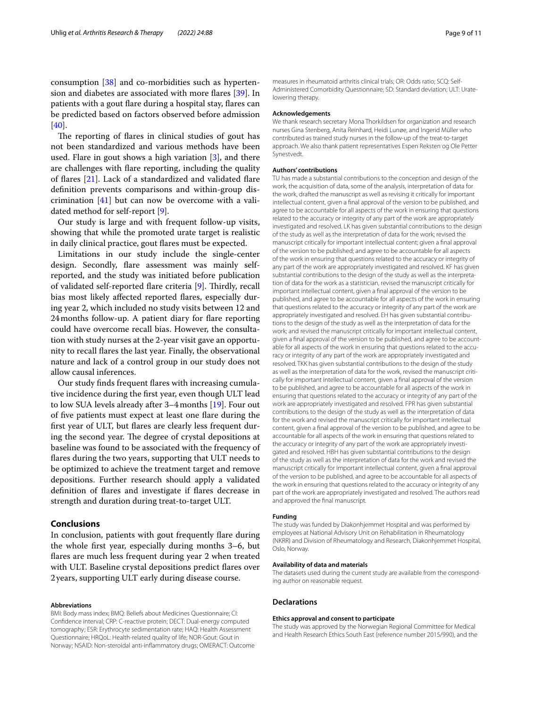consumption [\[38](#page-10-4)] and co-morbidities such as hypertension and diabetes are associated with more fares [[39\]](#page-10-5). In patients with a gout flare during a hospital stay, flares can be predicted based on factors observed before admission [[40\]](#page-10-6).

The reporting of flares in clinical studies of gout has not been standardized and various methods have been used. Flare in gout shows a high variation  $[3]$  $[3]$  $[3]$ , and there are challenges with fare reporting, including the quality of fares [[21](#page-9-19)]. Lack of a standardized and validated fare defnition prevents comparisons and within-group discrimination  $[41]$  $[41]$  but can now be overcome with a validated method for self-report [[9\]](#page-9-8).

Our study is large and with frequent follow-up visits, showing that while the promoted urate target is realistic in daily clinical practice, gout fares must be expected.

Limitations in our study include the single-center design. Secondly, flare assessment was mainly selfreported, and the study was initiated before publication of validated self-reported flare criteria [[9](#page-9-8)]. Thirdly, recall bias most likely afected reported fares, especially during year 2, which included no study visits between 12 and 24 months follow-up. A patient diary for flare reporting could have overcome recall bias. However, the consultation with study nurses at the 2-year visit gave an opportunity to recall fares the last year. Finally, the observational nature and lack of a control group in our study does not allow causal inferences.

Our study fnds frequent fares with increasing cumulative incidence during the frst year, even though ULT lead to low SUA levels already after 3–4months [[19](#page-9-17)]. Four out of fve patients must expect at least one fare during the frst year of ULT, but fares are clearly less frequent during the second year. The degree of crystal depositions at baseline was found to be associated with the frequency of fares during the two years, supporting that ULT needs to be optimized to achieve the treatment target and remove depositions. Further research should apply a validated defnition of fares and investigate if fares decrease in strength and duration during treat-to-target ULT.

# **Conclusions**

In conclusion, patients with gout frequently fare during the whole frst year, especially during months 3–6, but fares are much less frequent during year 2 when treated with ULT. Baseline crystal depositions predict fares over 2years, supporting ULT early during disease course.

#### **Abbreviations**

BMI: Body mass index; BMQ: Beliefs about Medicines Questionnaire; CI: Confdence interval; CRP: C-reactive protein; DECT: Dual-energy computed tomography; ESR: Erythrocyte sedimentation rate; HAQ: Health Assessment Questionnaire; HRQoL: Health-related quality of life; NOR-Gout: Gout in Norway; NSAID: Non-steroidal anti-infammatory drugs; OMERACT: Outcome

measures in rheumatoid arthritis clinical trials; OR: Odds ratio; SCQ: Self-Administered Comorbidity Questionnaire; SD: Standard deviation; ULT: Uratelowering therapy.

#### **Acknowledgements**

We thank research secretary Mona Thorkildsen for organization and research nurses Gina Stenberg, Anita Reinhard, Heidi Lunøe, and Ingerid Müller who contributed as trained study nurses in the follow-up of the treat-to-target approach. We also thank patient representatives Espen Reksten og Ole Petter Synestvedt.

## **Authors' contributions**

TU has made a substantial contributions to the conception and design of the work, the acquisition of data, some of the analysis, interpretation of data for the work, drafted the manuscript as well as revising it critically for important intellectual content, given a fnal approval of the version to be published, and agree to be accountable for all aspects of the work in ensuring that questions related to the accuracy or integrity of any part of the work are appropriately investigated and resolved. LK has given substantial contributions to the design of the study as well as the interpretation of data for the work; revised the manuscript critically for important intellectual content; given a fnal approval of the version to be published; and agree to be accountable for all aspects of the work in ensuring that questions related to the accuracy or integrity of any part of the work are appropriately investigated and resolved. KF has given substantial contributions to the design of the study as well as the interpretation of data for the work as a statistician, revised the manuscript critically for important intellectual content, given a fnal approval of the version to be published, and agree to be accountable for all aspects of the work in ensuring that questions related to the accuracy or integrity of any part of the work are appropriately investigated and resolved. EH has given substantial contributions to the design of the study as well as the interpretation of data for the work; and revised the manuscript critically for important intellectual content, given a final approval of the version to be published, and agree to be accountable for all aspects of the work in ensuring that questions related to the accuracy or integrity of any part of the work are appropriately investigated and resolved. TKK has given substantial contributions to the design of the study as well as the interpretation of data for the work, revised the manuscript critically for important intellectual content, given a fnal approval of the version to be published, and agree to be accountable for all aspects of the work in ensuring that questions related to the accuracy or integrity of any part of the work are appropriately investigated and resolved. FPR has given substantial contributions to the design of the study as well as the interpretation of data for the work and revised the manuscript critically for important intellectual content, given a fnal approval of the version to be published, and agree to be accountable for all aspects of the work in ensuring that questions related to the accuracy or integrity of any part of the work are appropriately investigated and resolved. HBH has given substantial contributions to the design of the study as well as the interpretation of data for the work and revised the manuscript critically for important intellectual content, given a fnal approval of the version to be published, and agree to be accountable for all aspects of the work in ensuring that questions related to the accuracy or integrity of any part of the work are appropriately investigated and resolved. The authors read and approved the fnal manuscript.

## **Funding**

The study was funded by Diakonhjemmet Hospital and was performed by employees at National Advisory Unit on Rehabilitation in Rheumatology (NKRR) and Division of Rheumatology and Research, Diakonhjemmet Hospital, Oslo, Norway.

## **Availability of data and materials**

The datasets used during the current study are available from the corresponding author on reasonable request.

## **Declarations**

## **Ethics approval and consent to participate**

The study was approved by the Norwegian Regional Committee for Medical and Health Research Ethics South East (reference number 2015/990), and the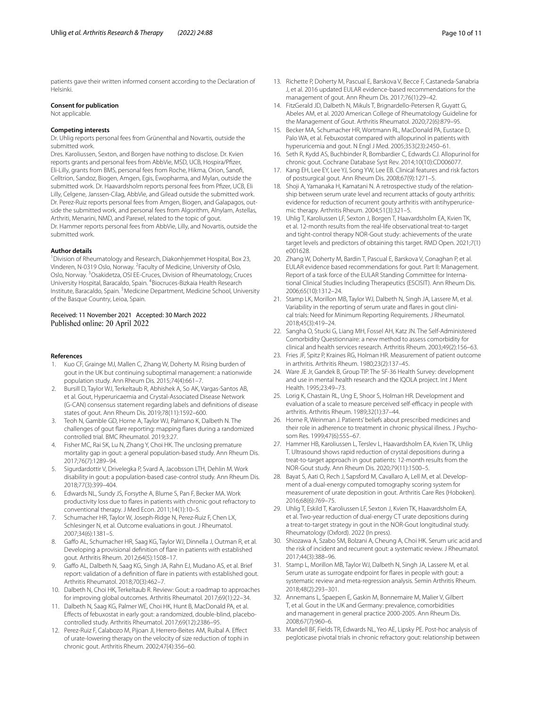patients gave their written informed consent according to the Declaration of Helsinki.

# **Consent for publication**

Not applicable.

## **Competing interests**

Dr. Uhlig reports personal fees from Grünenthal and Novartis, outside the submitted work.

Dres. Karoliussen, Sexton, and Borgen have nothing to disclose. Dr. Kvien reports grants and personal fees from AbbVie, MSD, UCB, Hospira/Pfzer, Eli-Lilly, grants from BMS, personal fees from Roche, Hikma, Orion, Sanof, Celltrion, Sandoz, Biogen, Amgen, Egis, Ewopharma, and Mylan, outside the submitted work. Dr. Haavardsholm reports personal fees from Pfizer, UCB, Eli Lilly, Celgene, Janssen-Cilag, AbbVie, and Gilead outside the submitted work. Dr. Perez-Ruiz reports personal fees from Amgen, Biogen, and Galapagos, outside the submitted work, and personal fees from Algorithm, Alnylam, Astellas, Arthriti, Menarini, NMD, and Parexel, related to the topic of gout. Dr. Hammer reports personal fees from AbbVie, Lilly, and Novartis, outside the submitted work.

## **Author details**

<sup>1</sup> Division of Rheumatology and Research, Diakonhjemmet Hospital, Box 23, Vinderen, N-0319 Oslo, Norway. <sup>2</sup> Faculty of Medicine, University of Oslo, Oslo, Norway. <sup>3</sup> Osakidetza, OSI EE-Cruces, Division of Rheumatology, Cruces University Hospital, Baracaldo, Spain. <sup>4</sup>Biocruces-Bizkaia Health Research Institute, Baracaldo, Spain. <sup>5</sup> Medicine Department, Medicine School, University of the Basque Country, Leioa, Spain.

## Received: 11 November 2021 Accepted: 30 March 2022 Published online: 20 April 2022

### **References**

- <span id="page-9-0"></span>1. Kuo CF, Grainge MJ, Mallen C, Zhang W, Doherty M. Rising burden of gout in the UK but continuing suboptimal management: a nationwide population study. Ann Rheum Dis. 2015;74(4):661–7.
- <span id="page-9-1"></span>2. Bursill D, Taylor WJ, Terkeltaub R, Abhishek A, So AK, Vargas-Santos AB, et al. Gout, Hyperuricaemia and Crystal-Associated Disease Network (G-CAN) consensus statement regarding labels and defnitions of disease states of gout. Ann Rheum Dis. 2019;78(11):1592–600.
- <span id="page-9-2"></span>3. Teoh N, Gamble GD, Horne A, Taylor WJ, Palmano K, Dalbeth N. The challenges of gout fare reporting: mapping fares during a randomized controlled trial. BMC Rheumatol. 2019;3:27.
- <span id="page-9-3"></span>4. Fisher MC, Rai SK, Lu N, Zhang Y, Choi HK. The unclosing premature mortality gap in gout: a general population-based study. Ann Rheum Dis. 2017;76(7):1289–94.
- <span id="page-9-4"></span>5. Sigurdardottir V, Drivelegka P, Svard A, Jacobsson LTH, Dehlin M. Work disability in gout: a population-based case-control study. Ann Rheum Dis. 2018;77(3):399–404.
- <span id="page-9-5"></span>6. Edwards NL, Sundy JS, Forsythe A, Blume S, Pan F, Becker MA. Work productivity loss due to fares in patients with chronic gout refractory to conventional therapy. J Med Econ. 2011;14(1):10–5.
- <span id="page-9-6"></span>7. Schumacher HR, Taylor W, Joseph-Ridge N, Perez-Ruiz F, Chen LX, Schlesinger N, et al. Outcome evaluations in gout. J Rheumatol. 2007;34(6):1381–5.
- <span id="page-9-7"></span>8. Gaffo AL, Schumacher HR, Saag KG, Taylor WJ, Dinnella J, Outman R, et al. Developing a provisional defnition of fare in patients with established gout. Arthritis Rheum. 2012;64(5):1508–17.
- <span id="page-9-8"></span>9. Gafo AL, Dalbeth N, Saag KG, Singh JA, Rahn EJ, Mudano AS, et al. Brief report: validation of a defnition of fare in patients with established gout. Arthritis Rheumatol. 2018;70(3):462–7.
- <span id="page-9-9"></span>10. Dalbeth N, Choi HK, Terkeltaub R. Review: Gout: a roadmap to approaches for improving global outcomes. Arthritis Rheumatol. 2017;69(1):22–34.
- <span id="page-9-10"></span>11. Dalbeth N, Saag KG, Palmer WE, Choi HK, Hunt B, MacDonald PA, et al. Efects of febuxostat in early gout: a randomized, double-blind, placebocontrolled study. Arthritis Rheumatol. 2017;69(12):2386–95.
- <span id="page-9-11"></span>12. Perez-Ruiz F, Calabozo M, Pijoan JI, Herrero-Beites AM, Ruibal A. Efect of urate-lowering therapy on the velocity of size reduction of tophi in chronic gout. Arthritis Rheum. 2002;47(4):356–60.
- <span id="page-9-12"></span>13. Richette P, Doherty M, Pascual E, Barskova V, Becce F, Castaneda-Sanabria J, et al. 2016 updated EULAR evidence-based recommendations for the management of gout. Ann Rheum Dis. 2017;76(1):29–42.
- <span id="page-9-13"></span>14. FitzGerald JD, Dalbeth N, Mikuls T, Brignardello-Petersen R, Guyatt G, Abeles AM, et al. 2020 American College of Rheumatology Guideline for the Management of Gout. Arthritis Rheumatol. 2020;72(6):879–95.
- <span id="page-9-14"></span>15. Becker MA, Schumacher HR, Wortmann RL, MacDonald PA, Eustace D, Palo WA, et al. Febuxostat compared with allopurinol in patients with hyperuricemia and gout. N Engl J Med. 2005;353(23):2450–61.
- <span id="page-9-15"></span>16. Seth R, Kydd AS, Buchbinder R, Bombardier C, Edwards CJ. Allopurinol for chronic gout. Cochrane Database Syst Rev. 2014;10(10):CD006077.
- 17. Kang EH, Lee EY, Lee YJ, Song YW, Lee EB. Clinical features and risk factors of postsurgical gout. Ann Rheum Dis. 2008;67(9):1271–5.
- <span id="page-9-16"></span>18. Shoji A, Yamanaka H, Kamatani N. A retrospective study of the relationship between serum urate level and recurrent attacks of gouty arthritis: evidence for reduction of recurrent gouty arthritis with antihyperuricemic therapy. Arthritis Rheum. 2004;51(3):321–5.
- <span id="page-9-17"></span>19. Uhlig T, Karoliussen LF, Sexton J, Borgen T, Haavardsholm EA, Kvien TK, et al. 12-month results from the real-life observational treat-to-target and tight-control therapy NOR-Gout study: achievements of the urate target levels and predictors of obtaining this target. RMD Open. 2021;7(1) e001628.
- <span id="page-9-18"></span>20. Zhang W, Doherty M, Bardin T, Pascual E, Barskova V, Conaghan P, et al. EULAR evidence based recommendations for gout. Part II: Management. Report of a task force of the EULAR Standing Committee for International Clinical Studies Including Therapeutics (ESCISIT). Ann Rheum Dis. 2006;65(10):1312–24.
- <span id="page-9-19"></span>21. Stamp LK, Morillon MB, Taylor WJ, Dalbeth N, Singh JA, Lassere M, et al. Variability in the reporting of serum urate and flares in gout clinical trials: Need for Minimum Reporting Requirements. J Rheumatol. 2018;45(3):419–24.
- <span id="page-9-20"></span>22. Sangha O, Stucki G, Liang MH, Fossel AH, Katz JN. The Self-Administered Comorbidity Questionnaire: a new method to assess comorbidity for clinical and health services research. Arthritis Rheum. 2003;49(2):156–63.
- <span id="page-9-21"></span>23. Fries JF, Spitz P, Kraines RG, Holman HR. Measurement of patient outcome in arthritis. Arthritis Rheum. 1980;23(2):137–45.
- <span id="page-9-22"></span>24. Ware JE Jr, Gandek B, Group TIP. The SF-36 Health Survey: development and use in mental health research and the IQOLA project. Int J Ment Health. 1995;23:49–73.
- <span id="page-9-23"></span>25. Lorig K, Chastain RL, Ung E, Shoor S, Holman HR. Development and evaluation of a scale to measure perceived self-efficacy in people with arthritis. Arthritis Rheum. 1989;32(1):37–44.
- <span id="page-9-24"></span>26. Horne R, Weinman J. Patients' beliefs about prescribed medicines and their role in adherence to treatment in chronic physical illness. J Psychosom Res. 1999;47(6):555–67.
- <span id="page-9-25"></span>27. Hammer HB, Karoliussen L, Terslev L, Haavardsholm EA, Kvien TK, Uhlig T. Ultrasound shows rapid reduction of crystal depositions during a treat-to-target approach in gout patients: 12-month results from the NOR-Gout study. Ann Rheum Dis. 2020;79(11):1500–5.
- <span id="page-9-26"></span>28. Bayat S, Aati O, Rech J, Sapsford M, Cavallaro A, Lell M, et al. Development of a dual-energy computed tomography scoring system for measurement of urate deposition in gout. Arthritis Care Res (Hoboken). 2016;68(6):769–75.
- <span id="page-9-27"></span>29. Uhlig T, Eskild T, Karoliussen LF, Sexton J, Kvien TK, Haavardsholm EA, et al. Two-year reduction of dual-energy CT urate depositions during a treat-to-target strategy in gout in the NOR-Gout longitudinal study. Rheumatology (Oxford). 2022 (In press).
- <span id="page-9-28"></span>30. Shiozawa A, Szabo SM, Bolzani A, Cheung A, Choi HK. Serum uric acid and the risk of incident and recurrent gout: a systematic review. J Rheumatol. 2017;44(3):388–96.
- <span id="page-9-29"></span>31. Stamp L, Morillon MB, Taylor WJ, Dalbeth N, Singh JA, Lassere M, et al. Serum urate as surrogate endpoint for fares in people with gout: a systematic review and meta-regression analysis. Semin Arthritis Rheum. 2018;48(2):293–301.
- <span id="page-9-30"></span>32. Annemans L, Spaepen E, Gaskin M, Bonnemaire M, Malier V, Gilbert T, et al. Gout in the UK and Germany: prevalence, comorbidities and management in general practice 2000-2005. Ann Rheum Dis. 2008;67(7):960–6.
- <span id="page-9-31"></span>33. Mandell BF, Fields TR, Edwards NL, Yeo AE, Lipsky PE. Post-hoc analysis of pegloticase pivotal trials in chronic refractory gout: relationship between